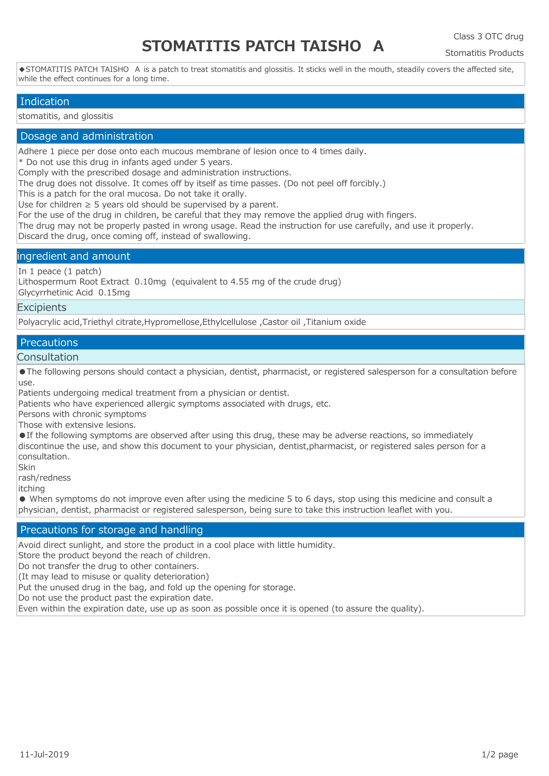# **STOMATITIS PATCH TAISHO A**

Stomatitis Products

◆STOMATITIS PATCH TAISHO A is a patch to treat stomatitis and glossitis. It sticks well in the mouth, steadily covers the affected site, while the effect continues for a long time.

# **Indication**

stomatitis, and glossitis

# Dosage and administration

Adhere 1 piece per dose onto each mucous membrane of lesion once to 4 times daily.

\* Do not use this drug in infants aged under 5 years.

Comply with the prescribed dosage and administration instructions.

The drug does not dissolve. It comes off by itself as time passes. (Do not peel off forcibly.)

This is a patch for the oral mucosa. Do not take it orally.

Use for children  $≥$  5 years old should be supervised by a parent.

For the use of the drug in children, be careful that they may remove the applied drug with fingers.

The drug may not be properly pasted in wrong usage. Read the instruction for use carefully, and use it properly. Discard the drug, once coming off, instead of swallowing.

ingredient and amount

In 1 peace (1 patch)

Lithospermum Root Extract 0.10mg (equivalent to 4.55 mg of the crude drug) Glycyrrhetinic Acid 0.15mg

#### **Excipients**

Polyacrylic acid,Triethyl citrate,Hypromellose,Ethylcellulose ,Castor oil ,Titanium oxide

### **Precautions**

#### **Consultation**

●The following persons should contact a physician, dentist, pharmacist, or registered salesperson for a consultation before use.

Patients undergoing medical treatment from a physician or dentist.

Patients who have experienced allergic symptoms associated with drugs, etc.

Persons with chronic symptoms

Those with extensive lesions.

●If the following symptoms are observed after using this drug, these may be adverse reactions, so immediately discontinue the use, and show this document to your physician, dentist,pharmacist, or registered sales person for a consultation.

Skin

rash/redness

itching

● When symptoms do not improve even after using the medicine 5 to 6 days, stop using this medicine and consult a physician, dentist, pharmacist or registered salesperson, being sure to take this instruction leaflet with you.

# Precautions for storage and handling

Avoid direct sunlight, and store the product in a cool place with little humidity.

Store the product beyond the reach of children.

Do not transfer the drug to other containers.

(It may lead to misuse or quality deterioration)

Put the unused drug in the bag, and fold up the opening for storage.

Do not use the product past the expiration date.

Even within the expiration date, use up as soon as possible once it is opened (to assure the quality).